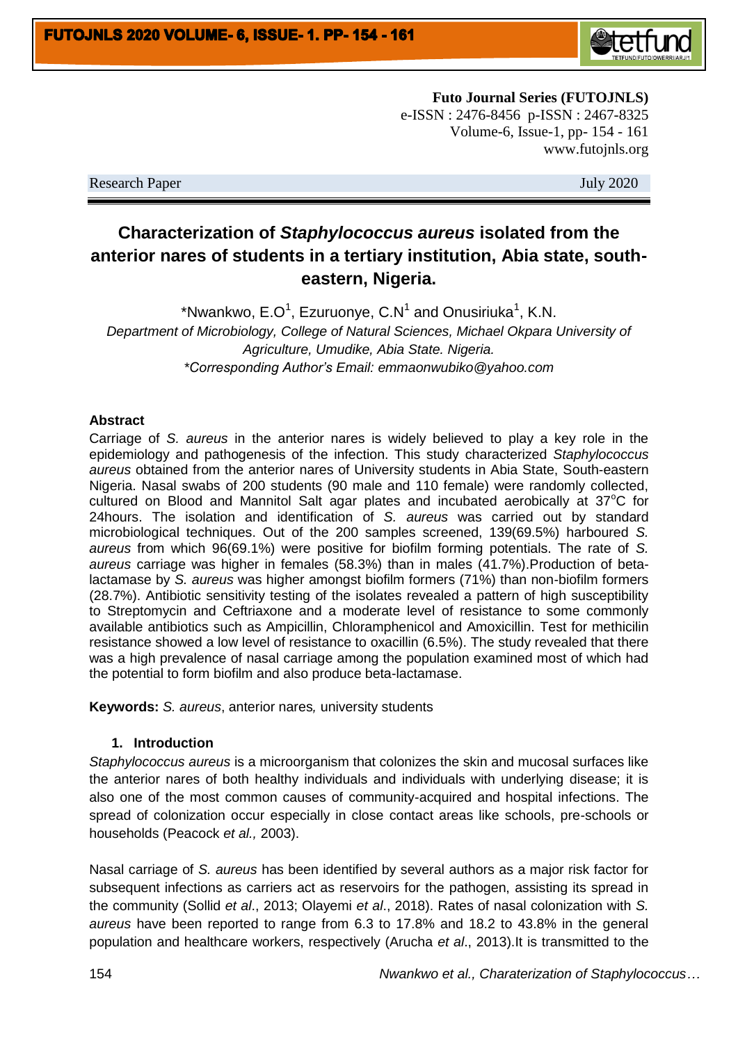

**Futo Journal Series (FUTOJNLS)** e-ISSN : 2476-8456 p-ISSN : 2467-8325 Volume-6, Issue-1, pp- 154 - 161 www.futojnls.org

Research Paper July 2020

# **Characterization of** *Staphylococcus aureus* **isolated from the anterior nares of students in a tertiary institution, Abia state, southeastern, Nigeria.**

\*Nwankwo, E.O<sup>1</sup>, Ezuruonye, C.N<sup>1</sup> and Onusiriuka<sup>1</sup>, K.N. *Department of Microbiology, College of Natural Sciences, Michael Okpara University of Agriculture, Umudike, Abia State. Nigeria. \*Corresponding Author's Email: emmaonwubiko@yahoo.com*

## **Abstract**

Carriage of *S. aureus* in the anterior nares is widely believed to play a key role in the epidemiology and pathogenesis of the infection. This study characterized *Staphylococcus aureus* obtained from the anterior nares of University students in Abia State, South-eastern Nigeria. Nasal swabs of 200 students (90 male and 110 female) were randomly collected, cultured on Blood and Mannitol Salt agar plates and incubated aerobically at  $37^{\circ}$ C for 24hours. The isolation and identification of *S. aureus* was carried out by standard microbiological techniques. Out of the 200 samples screened, 139(69.5%) harboured *S. aureus* from which 96(69.1%) were positive for biofilm forming potentials. The rate of *S. aureus* carriage was higher in females (58.3%) than in males (41.7%).Production of betalactamase by *S. aureus* was higher amongst biofilm formers (71%) than non-biofilm formers (28.7%). Antibiotic sensitivity testing of the isolates revealed a pattern of high susceptibility to Streptomycin and Ceftriaxone and a moderate level of resistance to some commonly available antibiotics such as Ampicillin, Chloramphenicol and Amoxicillin. Test for methicilin resistance showed a low level of resistance to oxacillin (6.5%). The study revealed that there was a high prevalence of nasal carriage among the population examined most of which had the potential to form biofilm and also produce beta-lactamase.

**Keywords:** *S. aureus*, anterior nares*,* university students

# **1. Introduction**

*Staphylococcus aureus* is a microorganism that colonizes the skin and mucosal surfaces like the anterior nares of both healthy individuals and individuals with underlying disease; it is also one of the most common causes of community-acquired and hospital infections. The spread of colonization occur especially in close contact areas like schools, pre-schools or households (Peacock *et al.,* 2003).

Nasal carriage of *S. aureus* has been identified by several authors as a major risk factor for subsequent infections as carriers act as reservoirs for the pathogen, assisting its spread in the community (Sollid *et al*., 2013; Olayemi *et al*., 2018). Rates of nasal colonization with *S. aureus* have been reported to range from 6.3 to 17.8% and 18.2 to 43.8% in the general population and healthcare workers, respectively (Arucha *et al*., 2013).It is transmitted to the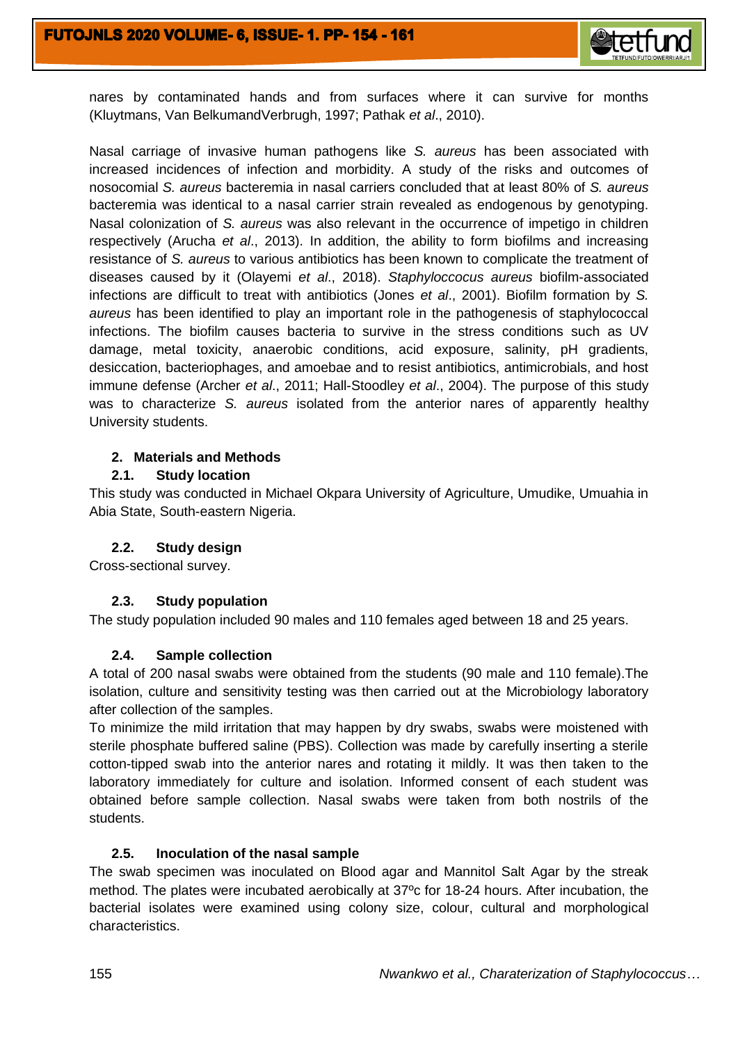

nares by contaminated hands and from surfaces where it can survive for months (Kluytmans, Van BelkumandVerbrugh, 1997; Pathak *et al*., 2010).

Nasal carriage of invasive human pathogens like *S. aureus* has been associated with increased incidences of infection and morbidity. A study of the risks and outcomes of nosocomial *S. aureus* bacteremia in nasal carriers concluded that at least 80% of *S. aureus*  bacteremia was identical to a nasal carrier strain revealed as endogenous by genotyping. Nasal colonization of *S. aureus* was also relevant in the occurrence of impetigo in children respectively (Arucha *et al*., 2013). In addition, the ability to form biofilms and increasing resistance of *S. aureus* to various antibiotics has been known to complicate the treatment of diseases caused by it (Olayemi *et al*., 2018). *Staphyloccocus aureus* biofilm-associated infections are difficult to treat with antibiotics (Jones *et al*., 2001). Biofilm formation by *S. aureus* has been identified to play an important role in the pathogenesis of staphylococcal infections. The biofilm causes bacteria to survive in the stress conditions such as UV damage, metal toxicity, anaerobic conditions, acid exposure, salinity, pH gradients, desiccation, bacteriophages, and amoebae and to resist antibiotics, antimicrobials, and host immune defense (Archer *et al*., 2011; Hall-Stoodley *et al*., 2004). The purpose of this study was to characterize *S. aureus* isolated from the anterior nares of apparently healthy University students.

# **2. Materials and Methods**

# **2.1. Study location**

This study was conducted in Michael Okpara University of Agriculture, Umudike, Umuahia in Abia State, South-eastern Nigeria.

# **2.2. Study design**

Cross-sectional survey.

## **2.3. Study population**

The study population included 90 males and 110 females aged between 18 and 25 years.

## **2.4. Sample collection**

A total of 200 nasal swabs were obtained from the students (90 male and 110 female).The isolation, culture and sensitivity testing was then carried out at the Microbiology laboratory after collection of the samples.

To minimize the mild irritation that may happen by dry swabs, swabs were moistened with sterile phosphate buffered saline (PBS). Collection was made by carefully inserting a sterile cotton-tipped swab into the anterior nares and rotating it mildly. It was then taken to the laboratory immediately for culture and isolation. Informed consent of each student was obtained before sample collection. Nasal swabs were taken from both nostrils of the students.

## **2.5. Inoculation of the nasal sample**

The swab specimen was inoculated on Blood agar and Mannitol Salt Agar by the streak method. The plates were incubated aerobically at 37ºc for 18-24 hours. After incubation, the bacterial isolates were examined using colony size, colour, cultural and morphological characteristics.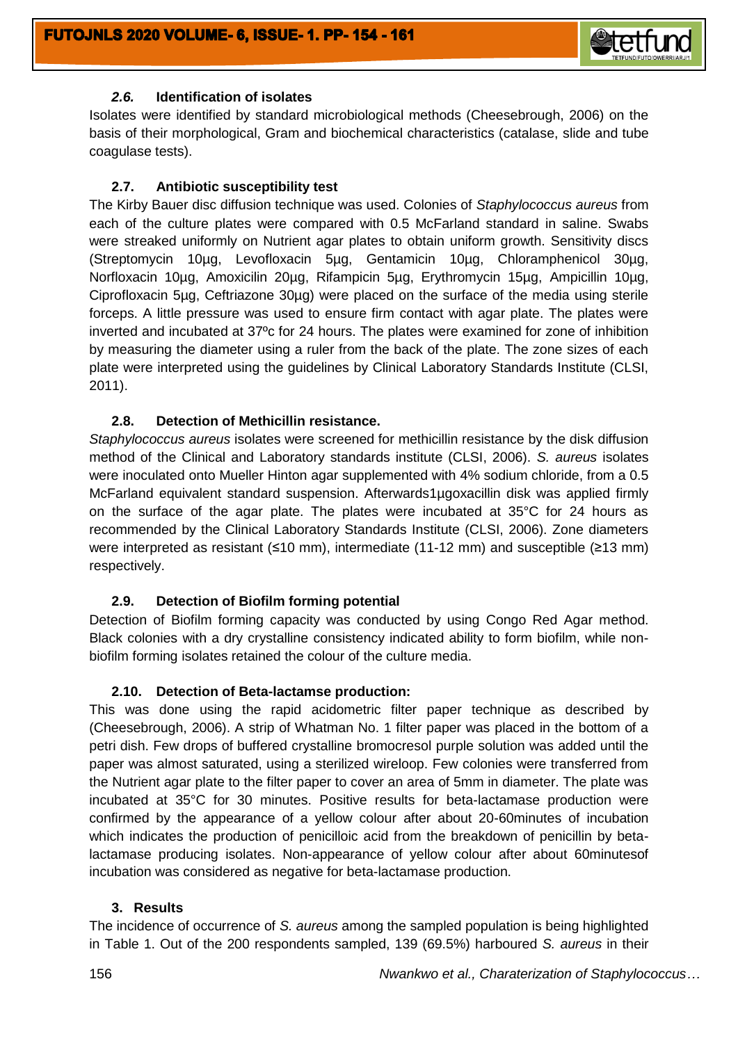

# *2.6.* **Identification of isolates**

Isolates were identified by standard microbiological methods (Cheesebrough, 2006) on the basis of their morphological, Gram and biochemical characteristics (catalase, slide and tube coagulase tests).

# **2.7. Antibiotic susceptibility test**

The Kirby Bauer disc diffusion technique was used. Colonies of *Staphylococcus aureus* from each of the culture plates were compared with 0.5 McFarland standard in saline. Swabs were streaked uniformly on Nutrient agar plates to obtain uniform growth. Sensitivity discs (Streptomycin 10µg, Levofloxacin 5µg, Gentamicin 10µg, Chloramphenicol 30µg, Norfloxacin 10µg, Amoxicilin 20µg, Rifampicin 5µg, Erythromycin 15µg, Ampicillin 10µg, Ciprofloxacin 5µg, Ceftriazone 30µg) were placed on the surface of the media using sterile forceps. A little pressure was used to ensure firm contact with agar plate. The plates were inverted and incubated at 37ºc for 24 hours. The plates were examined for zone of inhibition by measuring the diameter using a ruler from the back of the plate. The zone sizes of each plate were interpreted using the guidelines by Clinical Laboratory Standards Institute (CLSI, 2011).

# **2.8. Detection of Methicillin resistance.**

*Staphylococcus aureus* isolates were screened for methicillin resistance by the disk diffusion method of the Clinical and Laboratory standards institute (CLSI, 2006). *S. aureus* isolates were inoculated onto Mueller Hinton agar supplemented with 4% sodium chloride, from a 0.5 McFarland equivalent standard suspension. Afterwards1µgoxacillin disk was applied firmly on the surface of the agar plate. The plates were incubated at 35°C for 24 hours as recommended by the Clinical Laboratory Standards Institute (CLSI, 2006). Zone diameters were interpreted as resistant (≤10 mm), intermediate (11-12 mm) and susceptible (≥13 mm) respectively.

# **2.9. Detection of Biofilm forming potential**

Detection of Biofilm forming capacity was conducted by using Congo Red Agar method. Black colonies with a dry crystalline consistency indicated ability to form biofilm, while nonbiofilm forming isolates retained the colour of the culture media.

## **2.10. Detection of Beta-lactamse production:**

This was done using the rapid acidometric filter paper technique as described by (Cheesebrough, 2006). A strip of Whatman No. 1 filter paper was placed in the bottom of a petri dish. Few drops of buffered crystalline bromocresol purple solution was added until the paper was almost saturated, using a sterilized wireloop. Few colonies were transferred from the Nutrient agar plate to the filter paper to cover an area of 5mm in diameter. The plate was incubated at 35°C for 30 minutes. Positive results for beta-lactamase production were confirmed by the appearance of a yellow colour after about 20-60minutes of incubation which indicates the production of penicilloic acid from the breakdown of penicillin by betalactamase producing isolates. Non-appearance of yellow colour after about 60minutesof incubation was considered as negative for beta-lactamase production.

## **3. Results**

The incidence of occurrence of *S. aureus* among the sampled population is being highlighted in Table 1. Out of the 200 respondents sampled, 139 (69.5%) harboured *S. aureus* in their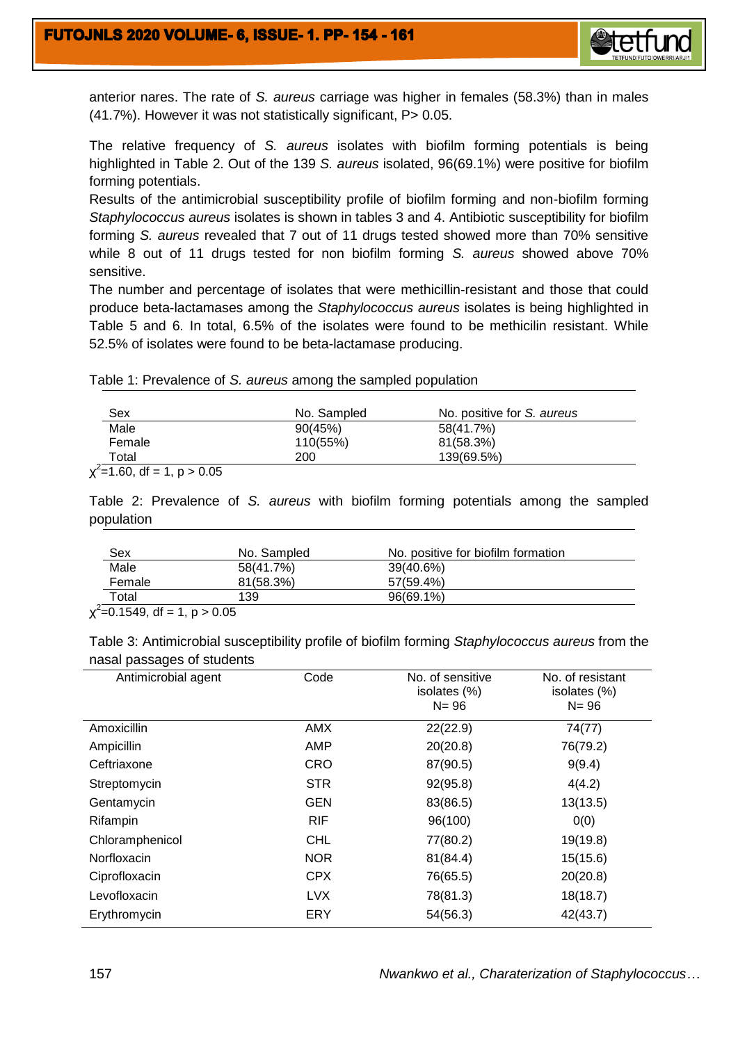

anterior nares. The rate of *S. aureus* carriage was higher in females (58.3%) than in males (41.7%). However it was not statistically significant, P> 0.05.

The relative frequency of *S. aureus* isolates with biofilm forming potentials is being highlighted in Table 2. Out of the 139 *S. aureus* isolated, 96(69.1%) were positive for biofilm forming potentials.

Results of the antimicrobial susceptibility profile of biofilm forming and non-biofilm forming *Staphylococcus aureus* isolates is shown in tables 3 and 4. Antibiotic susceptibility for biofilm forming *S. aureus* revealed that 7 out of 11 drugs tested showed more than 70% sensitive while 8 out of 11 drugs tested for non biofilm forming *S. aureus* showed above 70% sensitive.

The number and percentage of isolates that were methicillin-resistant and those that could produce beta-lactamases among the *Staphylococcus aureus* isolates is being highlighted in Table 5 and 6. In total, 6.5% of the isolates were found to be methicilin resistant. While 52.5% of isolates were found to be beta-lactamase producing.

| Sex    | No. Sampled | No. positive for S. aureus |
|--------|-------------|----------------------------|
| Male   | 90(45%)     | 58(41.7%)                  |
| Female | 110(55%)    | 81(58.3%)                  |

Table 1: Prevalence of *S. aureus* among the sampled population

Total 200 139(69.5%)

 $x^2$ =1.60, df = 1, p > 0.05

Table 2: Prevalence of *S. aureus* with biofilm forming potentials among the sampled population

| Sex                                                                                                                                                                                                                                                                                                                                                                                                                                                                                                               | No. Sampled          | No. positive for biofilm formation |  |
|-------------------------------------------------------------------------------------------------------------------------------------------------------------------------------------------------------------------------------------------------------------------------------------------------------------------------------------------------------------------------------------------------------------------------------------------------------------------------------------------------------------------|----------------------|------------------------------------|--|
| Male                                                                                                                                                                                                                                                                                                                                                                                                                                                                                                              | 58(41.7%)            | 39(40.6%)                          |  |
| Female                                                                                                                                                                                                                                                                                                                                                                                                                                                                                                            | 81(58.3%)            | 57(59.4%)                          |  |
| Total                                                                                                                                                                                                                                                                                                                                                                                                                                                                                                             | 139                  | $96(69.1\%)$                       |  |
| $\mathbf{a} \quad \mathbf{b} \quad \mathbf{c} \quad \mathbf{c} \quad \mathbf{d} \quad \mathbf{c} \quad \mathbf{d} \quad \mathbf{c} \quad \mathbf{d} \quad \mathbf{c} \quad \mathbf{d} \quad \mathbf{c} \quad \mathbf{d} \quad \mathbf{c} \quad \mathbf{c} \quad \mathbf{c} \quad \mathbf{c} \quad \mathbf{c} \quad \mathbf{c} \quad \mathbf{c} \quad \mathbf{c} \quad \mathbf{c} \quad \mathbf{c} \quad \mathbf{c} \quad \mathbf{c} \quad \mathbf{c} \quad \mathbf{c} \quad \mathbf{$<br>$\overline{\phantom{a}}$ | $\sim$ $\sim$ $\sim$ |                                    |  |

 $x^2$ =0.1549, df = 1, p > 0.05

Table 3: Antimicrobial susceptibility profile of biofilm forming *Staphylococcus aureus* from the nasal passages of students

| Antimicrobial agent | Code       | No. of sensitive<br>isolates (%)<br>$N = 96$ | No. of resistant<br>isolates (%)<br>$N = 96$ |
|---------------------|------------|----------------------------------------------|----------------------------------------------|
| Amoxicillin         | AMX        | 22(22.9)                                     | 74(77)                                       |
| Ampicillin          | <b>AMP</b> | 20(20.8)                                     | 76(79.2)                                     |
| Ceftriaxone         | <b>CRO</b> | 87(90.5)                                     | 9(9.4)                                       |
| Streptomycin        | <b>STR</b> | 92(95.8)                                     | 4(4.2)                                       |
| Gentamycin          | <b>GEN</b> | 83(86.5)                                     | 13(13.5)                                     |
| Rifampin            | <b>RIF</b> | 96(100)                                      | 0(0)                                         |
| Chloramphenicol     | <b>CHL</b> | 77(80.2)                                     | 19(19.8)                                     |
| Norfloxacin         | <b>NOR</b> | 81(84.4)                                     | 15(15.6)                                     |
| Ciprofloxacin       | <b>CPX</b> | 76(65.5)                                     | 20(20.8)                                     |
| Levofloxacin        | <b>LVX</b> | 78(81.3)                                     | 18(18.7)                                     |
| Erythromycin        | ERY        | 54(56.3)                                     | 42(43.7)                                     |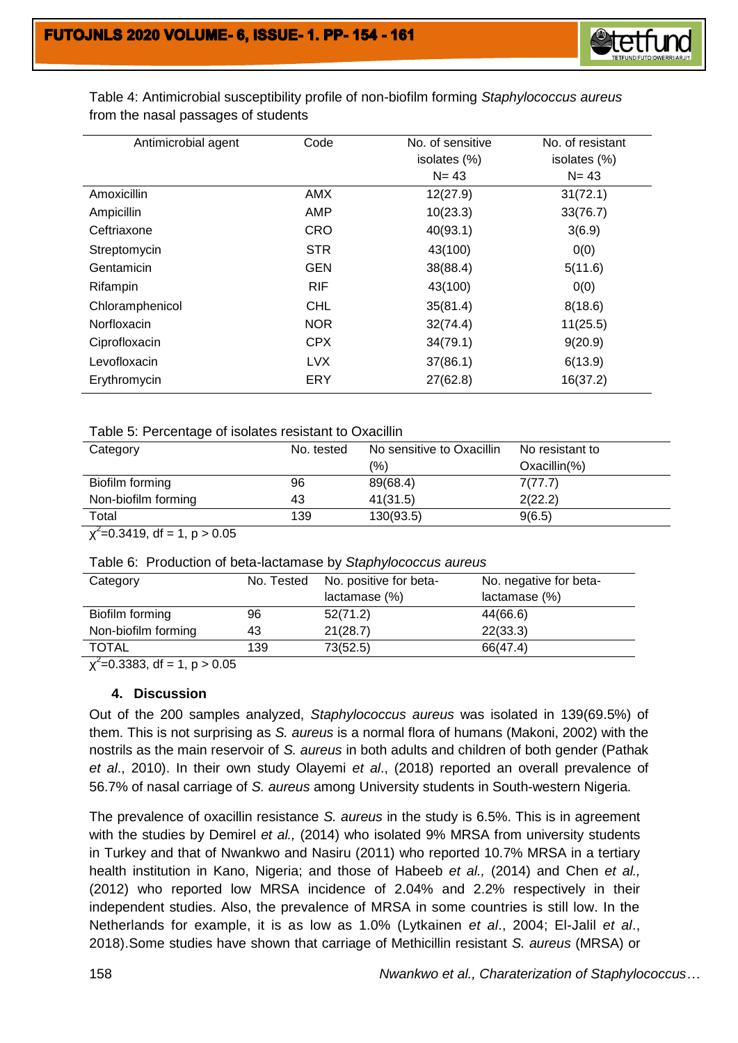

| Antimicrobial agent | Code       | No. of sensitive | No. of resistant |
|---------------------|------------|------------------|------------------|
|                     |            | isolates (%)     | isolates (%)     |
|                     |            | $N = 43$         | $N = 43$         |
| Amoxicillin         | <b>AMX</b> | 12(27.9)         | 31(72.1)         |
| Ampicillin          | AMP        | 10(23.3)         | 33(76.7)         |
| Ceftriaxone         | <b>CRO</b> | 40(93.1)         | 3(6.9)           |
| Streptomycin        | <b>STR</b> | 43(100)          | 0(0)             |
| Gentamicin          | <b>GEN</b> | 38(88.4)         | 5(11.6)          |
| Rifampin            | <b>RIF</b> | 43(100)          | 0(0)             |
| Chloramphenicol     | <b>CHL</b> | 35(81.4)         | 8(18.6)          |
| Norfloxacin         | <b>NOR</b> | 32(74.4)         | 11(25.5)         |
| Ciprofloxacin       | <b>CPX</b> | 34(79.1)         | 9(20.9)          |
| Levofloxacin        | <b>LVX</b> | 37(86.1)         | 6(13.9)          |
| Erythromycin        | ERY        | 27(62.8)         | 16(37.2)         |

Table 4: Antimicrobial susceptibility profile of non-biofilm forming *Staphylococcus aureus* from the nasal passages of students

#### Table 5: Percentage of isolates resistant to Oxacillin

| Category            | No. tested | No sensitive to Oxacillin | No resistant to |
|---------------------|------------|---------------------------|-----------------|
|                     |            | $\frac{1}{2}$             | $Oxacillin(\%)$ |
| Biofilm forming     | 96         | 89(68.4)                  | 7(77.7)         |
| Non-biofilm forming | 43         | 41(31.5)                  | 2(22.2)         |
| Total               | 139        | 130(93.5)                 | 9(6.5)          |
| .                   |            |                           |                 |

 $\chi^2$ =0.3419, df = 1, p > 0.05

|  |  |  | Table 6: Production of beta-lactamase by Staphylococcus aureus |
|--|--|--|----------------------------------------------------------------|
|--|--|--|----------------------------------------------------------------|

| Category            | No. Tested | No. positive for beta- | No. negative for beta- |
|---------------------|------------|------------------------|------------------------|
|                     |            | lactamase (%)          | lactamase (%)          |
| Biofilm forming     | 96         | 52(71.2)               | 44(66.6)               |
| Non-biofilm forming | 43         | 21(28.7)               | 22(33.3)               |
| <b>TOTAL</b>        | 139        | 73(52.5)               | 66(47.4)               |

 $\chi^2$ =0.3383, df = 1, p > 0.05

#### **4. Discussion**

Out of the 200 samples analyzed, *Staphylococcus aureus* was isolated in 139(69.5%) of them. This is not surprising as *S. aureus* is a normal flora of humans (Makoni, 2002) with the nostrils as the main reservoir of *S. aureus* in both adults and children of both gender (Pathak *et al*., 2010). In their own study Olayemi *et al*., (2018) reported an overall prevalence of 56.7% of nasal carriage of *S. aureus* among University students in South-western Nigeria.

The prevalence of oxacillin resistance *S. aureus* in the study is 6.5%. This is in agreement with the studies by Demirel *et al.,* (2014) who isolated 9% MRSA from university students in Turkey and that of Nwankwo and Nasiru (2011) who reported 10.7% MRSA in a tertiary health institution in Kano, Nigeria; and those of Habeeb *et al.,* (2014) and Chen *et al.,* (2012) who reported low MRSA incidence of 2.04% and 2.2% respectively in their independent studies. Also, the prevalence of MRSA in some countries is still low. In the Netherlands for example, it is as low as 1.0% (Lytkainen *et al*., 2004; El-Jalil *et al*., 2018).Some studies have shown that carriage of Methicillin resistant *S. aureus* (MRSA) or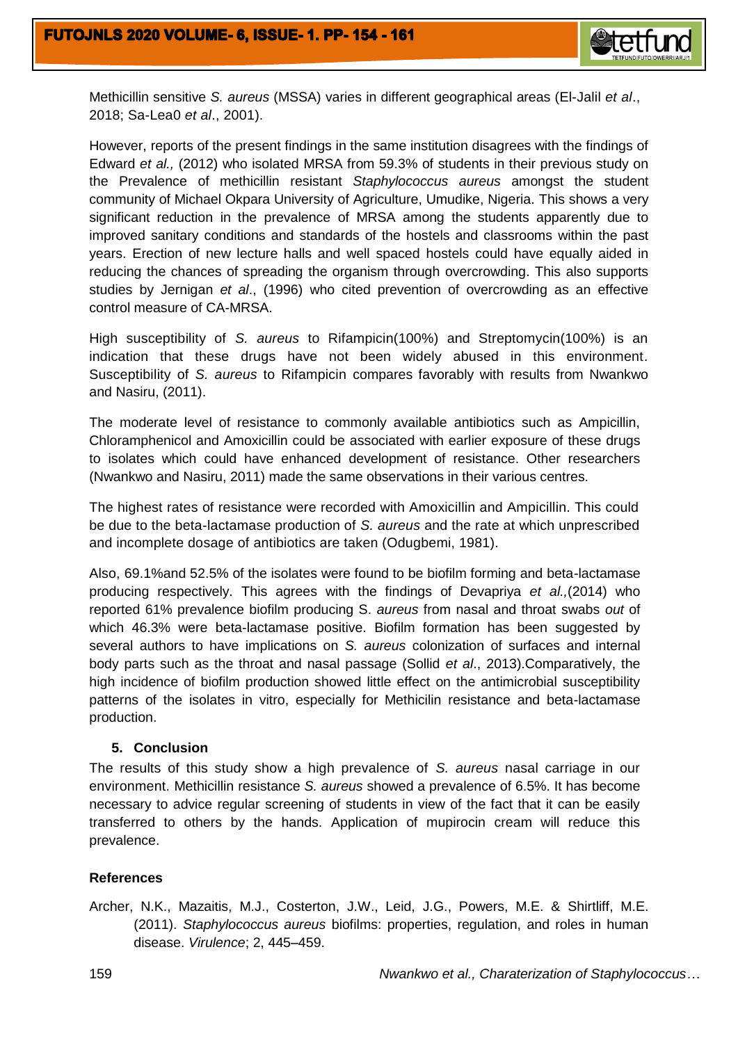

Methicillin sensitive *S. aureus* (MSSA) varies in different geographical areas (El-Jalil *et al*., 2018; Sa-Lea0 *et al*., 2001).

However, reports of the present findings in the same institution disagrees with the findings of Edward *et al.,* (2012) who isolated MRSA from 59.3% of students in their previous study on the Prevalence of methicillin resistant *Staphylococcus aureus* amongst the student community of Michael Okpara University of Agriculture, Umudike, Nigeria. This shows a very significant reduction in the prevalence of MRSA among the students apparently due to improved sanitary conditions and standards of the hostels and classrooms within the past years. Erection of new lecture halls and well spaced hostels could have equally aided in reducing the chances of spreading the organism through overcrowding. This also supports studies by Jernigan *et al*., (1996) who cited prevention of overcrowding as an effective control measure of CA-MRSA.

High susceptibility of *S. aureus* to Rifampicin(100%) and Streptomycin(100%) is an indication that these drugs have not been widely abused in this environment*.*  Susceptibility of *S. aureus* to Rifampicin compares favorably with results from Nwankwo and Nasiru, (2011).

The moderate level of resistance to commonly available antibiotics such as Ampicillin, Chloramphenicol and Amoxicillin could be associated with earlier exposure of these drugs to isolates which could have enhanced development of resistance. Other researchers (Nwankwo and Nasiru, 2011) made the same observations in their various centres.

The highest rates of resistance were recorded with Amoxicillin and Ampicillin. This could be due to the beta-lactamase production of *S. aureus* and the rate at which unprescribed and incomplete dosage of antibiotics are taken (Odugbemi, 1981).

Also, 69.1%and 52.5% of the isolates were found to be biofilm forming and beta-lactamase producing respectively. This agrees with the findings of Devapriya *et al.,*(2014) who reported 61% prevalence biofilm producing S. *aureus* from nasal and throat swabs *out* of which 46.3% were beta-lactamase positive. Biofilm formation has been suggested by several authors to have implications on *S. aureus* colonization of surfaces and internal body parts such as the throat and nasal passage (Sollid *et al*., 2013).Comparatively, the high incidence of biofilm production showed little effect on the antimicrobial susceptibility patterns of the isolates in vitro, especially for Methicilin resistance and beta-lactamase production.

## **5. Conclusion**

The results of this study show a high prevalence of *S. aureus* nasal carriage in our environment. Methicillin resistance *S. aureus* showed a prevalence of 6.5%. It has become necessary to advice regular screening of students in view of the fact that it can be easily transferred to others by the hands. Application of mupirocin cream will reduce this prevalence.

## **References**

Archer, N.K., Mazaitis, M.J., Costerton, J.W., Leid, J.G., Powers, M.E. & Shirtliff, M.E. (2011). *Staphylococcus aureus* biofilms: properties, regulation, and roles in human disease. *Virulence*; 2, 445–459.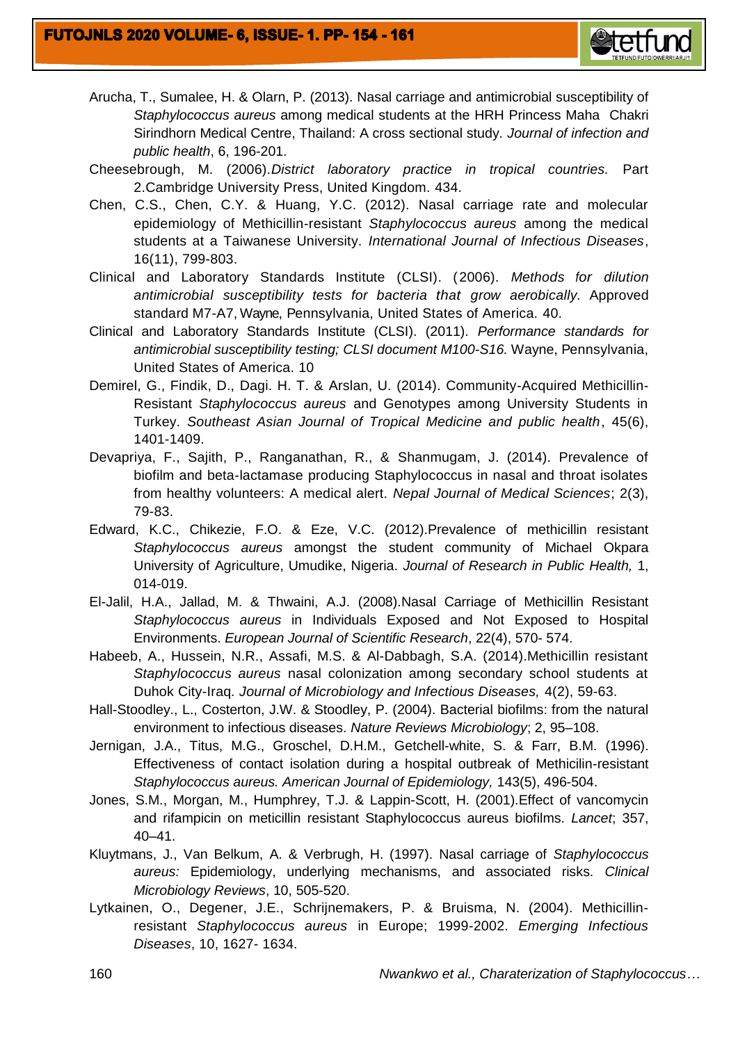

- Arucha, T., Sumalee, H. & Olarn, P. (2013). Nasal carriage and antimicrobial susceptibility of *Staphylococcus aureus* among medical students at the HRH Princess Maha Chakri Sirindhorn Medical Centre, Thailand: A cross sectional study. *Journal of infection and public health*, 6, 196-201.
- Cheesebrough, M. (2006).*District laboratory practice in tropical countries.* Part 2.Cambridge University Press, United Kingdom. 434.
- Chen, C.S., Chen, C.Y. & Huang, Y.C. (2012). Nasal carriage rate and molecular epidemiology of Methicillin-resistant *Staphylococcus aureus* among the medical students at a Taiwanese University. *International Journal of Infectious Diseases*, 16(11), 799-803.
- Clinical and Laboratory Standards Institute (CLSI). (2006). *Methods for dilution antimicrobial susceptibility tests for bacteria that grow aerobically*. Approved standard M7-A7, Wayne, Pennsylvania, United States of America. 40.
- Clinical and Laboratory Standards Institute (CLSI). (2011). *Performance standards for antimicrobial susceptibility testing; CLSI document M100-S16.* Wayne, Pennsylvania, United States of America. 10
- Demirel, G., Findik, D., Dagi. H. T. & Arslan, U. (2014). Community-Acquired Methicillin-Resistant *Staphylococcus aureus* and Genotypes among University Students in Turkey. *Southeast Asian Journal of Tropical Medicine and public health*, 45(6), 1401-1409.
- Devapriya, F., Sajith, P., Ranganathan, R., & Shanmugam, J. (2014). Prevalence of biofilm and beta-lactamase producing Staphylococcus in nasal and throat isolates from healthy volunteers: A medical alert. *Nepal Journal of Medical Sciences*; 2(3), 79-83.
- Edward, K.C., Chikezie, F.O. & Eze, V.C. (2012).Prevalence of methicillin resistant *Staphylococcus aureus* amongst the student community of Michael Okpara University of Agriculture, Umudike, Nigeria. *Journal of Research in Public Health,* 1, 014-019.
- El-Jalil, H.A., Jallad, M. & Thwaini, A.J. (2008).Nasal Carriage of Methicillin Resistant *Staphylococcus aureus* in Individuals Exposed and Not Exposed to Hospital Environments. *European Journal of Scientific Research*, 22(4), 570- 574.
- Habeeb, A., Hussein, N.R., Assafi, M.S. & Al-Dabbagh, S.A. (2014).Methicillin resistant *Staphylococcus aureus* nasal colonization among secondary school students at Duhok City-Iraq*. Journal of Microbiology and Infectious Diseases,* 4(2), 59-63.
- Hall-Stoodley., L., Costerton, J.W. & Stoodley, P. (2004). Bacterial biofilms: from the natural environment to infectious diseases. *Nature Reviews Microbiology*; 2, 95–108.
- Jernigan, J.A., Titus, M.G., Groschel, D.H.M., Getchell-white, S. & Farr, B.M. (1996). Effectiveness of contact isolation during a hospital outbreak of Methicilin-resistant *Staphylococcus aureus. American Journal of Epidemiology,* 143(5), 496-504.
- Jones, S.M., Morgan, M., Humphrey, T.J. & Lappin-Scott, H. (2001).Effect of vancomycin and rifampicin on meticillin resistant Staphylococcus aureus biofilms. *Lancet*; 357, 40–41.
- Kluytmans, J., Van Belkum, A. & Verbrugh, H. (1997). Nasal carriage of *Staphylococcus aureus:* Epidemiology, underlying mechanisms, and associated risks. *Clinical Microbiology Reviews*, 10, 505-520.
- Lytkainen, O., Degener, J.E., Schrijnemakers, P. & Bruisma, N. (2004). Methicillinresistant *Staphylococcus aureus* in Europe; 1999-2002. *Emerging Infectious Diseases*, 10, 1627- 1634.